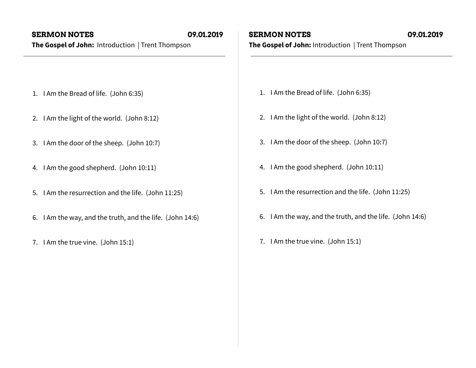- 1. I Am the Bread of life. (John 6:35)
- 2. I Am the light of the world. (John 8:12)
- 3. I Am the door of the sheep. (John 10:7)
- 4. I Am the good shepherd. (John 10:11)
- 5. I Am the resurrection and the life. (John 11:25)
- 6. I Am the way, and the truth, and the life. (John 14:6)
- 7. I Am the true vine. (John 15:1)

## **SERMON NOTES 09.01.2019**

**The Gospel of John:** Introduction | Trent Thompson

- 1. I Am the Bread of life. (John 6:35)
- 2. I Am the light of the world. (John 8:12)
- 3. I Am the door of the sheep. (John 10:7)
- 4. I Am the good shepherd. (John 10:11)
- 5. I Am the resurrection and the life. (John 11:25)
- 6. I Am the way, and the truth, and the life. (John 14:6)
- 7. I Am the true vine. (John 15:1)